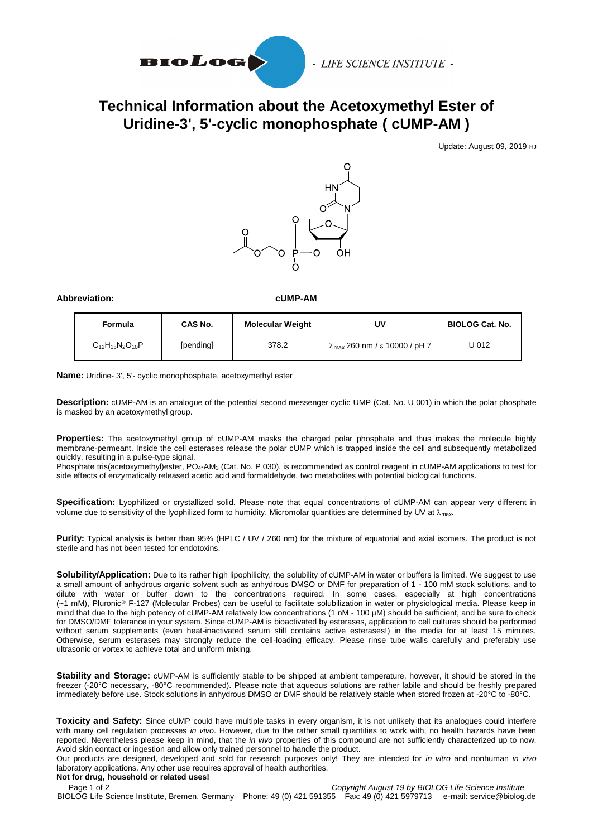

## **Technical Information about the Acetoxymethyl Ester of Uridine-3', 5'-cyclic monophosphate ( cUMP-AM )**

Update: August 09, 2019 HJ



## **Abbreviation: cUMP-AM**

| Formula                  | <b>CAS No.</b> | <b>Molecular Weight</b> | UV                                             | <b>BIOLOG Cat. No.</b> |
|--------------------------|----------------|-------------------------|------------------------------------------------|------------------------|
| $C_{12}H_{15}N_2O_{10}P$ | [pending]      | 378.2                   | $\lambda_{\text{max}}$ 260 nm / ε 10000 / pH 7 | U 012                  |

**Name:** Uridine- 3', 5'- cyclic monophosphate, acetoxymethyl ester

**Description:** cUMP-AM is an analogue of the potential second messenger cyclic UMP (Cat. No. U 001) in which the polar phosphate is masked by an acetoxymethyl group.

**Properties:** The acetoxymethyl group of cUMP-AM masks the charged polar phosphate and thus makes the molecule highly membrane-permeant. Inside the cell esterases release the polar cUMP which is trapped inside the cell and subsequently metabolized quickly, resulting in a pulse-type signal.

Phosphate tris(acetoxymethyl)ester, PO<sub>4</sub>-AM<sub>3</sub> (Cat. No. P 030), is recommended as control reagent in cUMP-AM applications to test for side effects of enzymatically released acetic acid and formaldehyde, two metabolites with potential biological functions.

**Specification:** Lyophilized or crystallized solid. Please note that equal concentrations of cUMP-AM can appear very different in volume due to sensitivity of the lyophilized form to humidity. Micromolar quantities are determined by UV at  $\lambda_{\text{max}}$ .

Purity: Typical analysis is better than 95% (HPLC / UV / 260 nm) for the mixture of equatorial and axial isomers. The product is not sterile and has not been tested for endotoxins.

Solubility/Application: Due to its rather high lipophilicity, the solubility of cUMP-AM in water or buffers is limited. We suggest to use a small amount of anhydrous organic solvent such as anhydrous DMSO or DMF for preparation of 1 - 100 mM stock solutions, and to dilute with water or buffer down to the concentrations required. In some cases, especially at high concentrations (~1 mM), Pluronic® F-127 (Molecular Probes) can be useful to facilitate solubilization in water or physiological media. Please keep in mind that due to the high potency of cUMP-AM relatively low concentrations (1 nM - 100 µM) should be sufficient, and be sure to check for DMSO/DMF tolerance in your system. Since cUMP-AM is bioactivated by esterases, application to cell cultures should be performed without serum supplements (even heat-inactivated serum still contains active esterases!) in the media for at least 15 minutes. Otherwise, serum esterases may strongly reduce the cell-loading efficacy. Please rinse tube walls carefully and preferably use ultrasonic or vortex to achieve total and uniform mixing.

**Stability and Storage:** cUMP-AM is sufficiently stable to be shipped at ambient temperature, however, it should be stored in the freezer (-20°C necessary, -80°C recommended). Please note that aqueous solutions are rather labile and should be freshly prepared immediately before use. Stock solutions in anhydrous DMSO or DMF should be relatively stable when stored frozen at -20°C to -80°C.

**Toxicity and Safety:** Since cUMP could have multiple tasks in every organism, it is not unlikely that its analogues could interfere with many cell regulation processes *in vivo*. However, due to the rather small quantities to work with, no health hazards have been reported. Nevertheless please keep in mind, that the *in vivo* properties of this compound are not sufficiently characterized up to now. Avoid skin contact or ingestion and allow only trained personnel to handle the product.

Our products are designed, developed and sold for research purposes only! They are intended for *in vitro* and nonhuman *in vivo* laboratory applications. Any other use requires approval of health authorities.

Page 1 of 2*Copyright August 19 by BIOLOG Life Science Institute* BIOLOG Life Science Institute, Bremen, Germany Phone: 49 (0) 421 591355 Fax: 49 (0) 421 5979713 e-mail: service@biolog.de **Not for drug, household or related uses!**